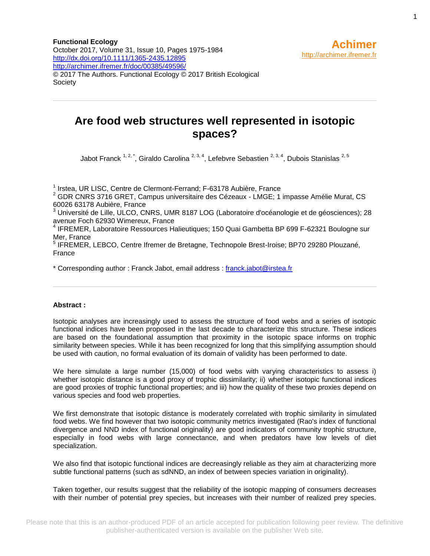**Functional Ecology** October 2017, Volume 31, Issue 10, Pages 1975-1984 <http://dx.doi.org/10.1111/1365-2435.12895> <http://archimer.ifremer.fr/doc/00385/49596/> © 2017 The Authors. Functional Ecology © 2017 British Ecological Society

# **Are food web structures well represented in isotopic spaces?**

Jabot Franck  $1, 2, 1$ , Giraldo Carolina  $2, 3, 4$ , Lefebvre Sebastien  $2, 3, 4$ , Dubois Stanislas  $2, 5$ 

<sup>1</sup> Irstea, UR LISC, Centre de Clermont-Ferrand; F-63178 Aubière, France

 $2$  GDR CNRS 3716 GRET, Campus universitaire des Cézeaux - LMGE; 1 impasse Amélie Murat, CS 60026 63178 Aubière, France

<sup>3</sup> Université de Lille, ULCO, CNRS, UMR 8187 LOG (Laboratoire d'océanologie et de géosciences); 28 avenue Foch 62930 Wimereux, France

<sup>4</sup> IFREMER, Laboratoire Ressources Halieutiques; 150 Quai Gambetta BP 699 F-62321 Boulogne sur Mer, France

<sup>5</sup> IFREMER, LEBCO, Centre Ifremer de Bretagne, Technopole Brest-Iroise; BP70 29280 Plouzané, France

\* Corresponding author : Franck Jabot, email address : [franck.jabot@irstea.fr](mailto:franck.jabot@irstea.fr)

#### **Abstract :**

Isotopic analyses are increasingly used to assess the structure of food webs and a series of isotopic functional indices have been proposed in the last decade to characterize this structure. These indices are based on the foundational assumption that proximity in the isotopic space informs on trophic similarity between species. While it has been recognized for long that this simplifying assumption should be used with caution, no formal evaluation of its domain of validity has been performed to date.

We here simulate a large number (15,000) of food webs with varying characteristics to assess i) whether isotopic distance is a good proxy of trophic dissimilarity; ii) whether isotopic functional indices are good proxies of trophic functional properties; and iii) how the quality of these two proxies depend on various species and food web properties.

We first demonstrate that isotopic distance is moderately correlated with trophic similarity in simulated food webs. We find however that two isotopic community metrics investigated (Rao's index of functional divergence and NND index of functional originality) are good indicators of community trophic structure, especially in food webs with large connectance, and when predators have low levels of diet specialization.

We also find that isotopic functional indices are decreasingly reliable as they aim at characterizing more subtle functional patterns (such as sdNND, an index of between species variation in originality).

Taken together, our results suggest that the reliability of the isotopic mapping of consumers decreases with their number of potential prey species, but increases with their number of realized prey species.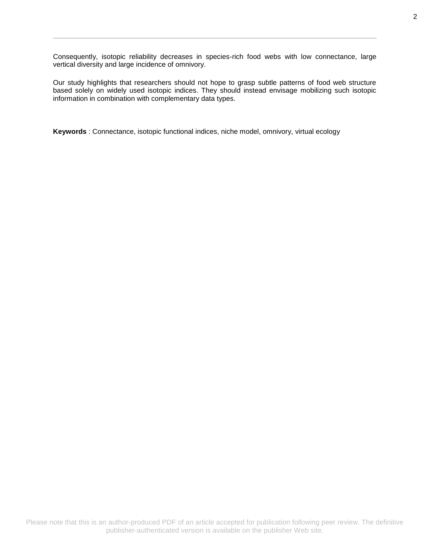Consequently, isotopic reliability decreases in species-rich food webs with low connectance, large vertical diversity and large incidence of omnivory.

Our study highlights that researchers should not hope to grasp subtle patterns of food web structure based solely on widely used isotopic indices. They should instead envisage mobilizing such isotopic information in combination with complementary data types.

**Keywords** : Connectance, isotopic functional indices, niche model, omnivory, virtual ecology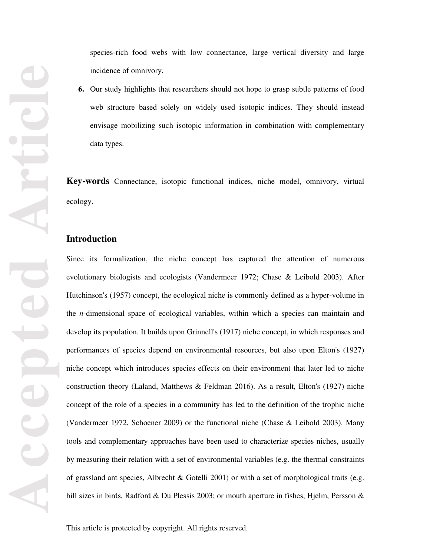## **Introduction**

Since its formalization, the niche concept has captured the attention of numerous evolutionary biologists and ecologists (Vandermeer 1972; Chase & Leibold 2003). After Hutchinson's (1957) concept, the ecological niche is commonly defined as a hyper-volume in the *n*-dimensional space of ecological variables, within which a species can maintain and develop its population. It builds upon Grinnell's (1917) niche concept, in which responses and performances of species depend on environmental resources, but also upon Elton's (1927) niche concept which introduces species effects on their environment that later led to niche construction theory (Laland, Matthews & Feldman 2016). As a result, Elton's (1927) niche concept of the role of a species in a community has led to the definition of the trophic niche (Vandermeer 1972, Schoener 2009) or the functional niche (Chase & Leibold 2003). Many tools and complementary approaches have been used to characterize species niches, usually by measuring their relation with a set of environmental variables (e.g. the thermal constraints of grassland ant species, Albrecht & Gotelli 2001) or with a set of morphological traits (e.g. bill sizes in birds, Radford & Du Plessis 2003; or mouth aperture in fishes, Hjelm, Persson &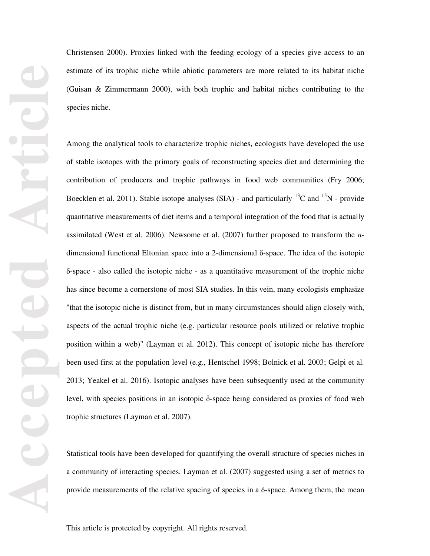Christensen 2000). Proxies linked with the feeding ecology of a species give access to an estimate of its trophic niche while abiotic parameters are more related to its habitat niche (Guisan & Zimmermann 2000), with both trophic and habitat niches contributing to the species niche.

Among the analytical tools to characterize trophic niches, ecologists have developed the use of stable isotopes with the primary goals of reconstructing species diet and determining the contribution of producers and trophic pathways in food web communities (Fry 2006; Boecklen et al. 2011). Stable isotope analyses (SIA) - and particularly  $^{13}$ C and  $^{15}$ N - provide quantitative measurements of diet items and a temporal integration of the food that is actually assimilated (West et al. 2006). Newsome et al. (2007) further proposed to transform the *n*dimensional functional Eltonian space into a 2-dimensional δ-space. The idea of the isotopic δ-space - also called the isotopic niche - as a quantitative measurement of the trophic niche has since become a cornerstone of most SIA studies. In this vein, many ecologists emphasize "that the isotopic niche is distinct from, but in many circumstances should align closely with, aspects of the actual trophic niche (e.g. particular resource pools utilized or relative trophic position within a web)" (Layman et al. 2012). This concept of isotopic niche has therefore been used first at the population level (e.g., Hentschel 1998; Bolnick et al. 2003; Gelpi et al. 2013; Yeakel et al. 2016). Isotopic analyses have been subsequently used at the community level, with species positions in an isotopic δ-space being considered as proxies of food web trophic structures (Layman et al. 2007).

Statistical tools have been developed for quantifying the overall structure of species niches in a community of interacting species. Layman et al. (2007) suggested using a set of metrics to provide measurements of the relative spacing of species in a δ-space. Among them, the mean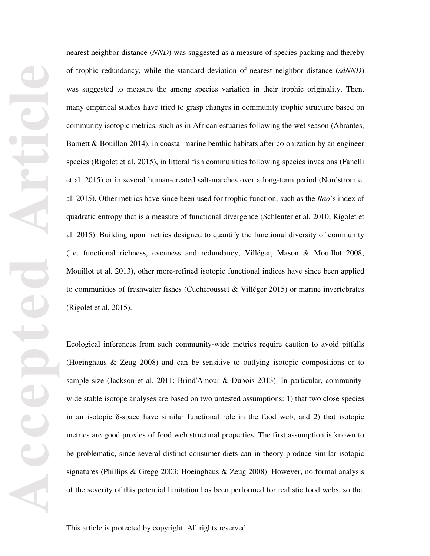nearest neighbor distance (*NND*) was suggested as a measure of species packing and thereby of trophic redundancy, while the standard deviation of nearest neighbor distance (*sdNND*) was suggested to measure the among species variation in their trophic originality. Then, many empirical studies have tried to grasp changes in community trophic structure based on community isotopic metrics, such as in African estuaries following the wet season (Abrantes, Barnett & Bouillon 2014), in coastal marine benthic habitats after colonization by an engineer species (Rigolet et al. 2015), in littoral fish communities following species invasions (Fanelli et al. 2015) or in several human-created salt-marches over a long-term period (Nordstrom et al. 2015). Other metrics have since been used for trophic function, such as the *Rao*'s index of quadratic entropy that is a measure of functional divergence (Schleuter et al. 2010; Rigolet et al. 2015). Building upon metrics designed to quantify the functional diversity of community (i.e. functional richness, evenness and redundancy, Villéger, Mason & Mouillot 2008; Mouillot et al. 2013), other more-refined isotopic functional indices have since been applied to communities of freshwater fishes (Cucherousset & Villéger 2015) or marine invertebrates (Rigolet et al. 2015).

Ecological inferences from such community-wide metrics require caution to avoid pitfalls (Hoeinghaus & Zeug 2008) and can be sensitive to outlying isotopic compositions or to sample size (Jackson et al. 2011; Brind'Amour & Dubois 2013). In particular, communitywide stable isotope analyses are based on two untested assumptions: 1) that two close species in an isotopic δ-space have similar functional role in the food web, and 2) that isotopic metrics are good proxies of food web structural properties. The first assumption is known to be problematic, since several distinct consumer diets can in theory produce similar isotopic signatures (Phillips & Gregg 2003; Hoeinghaus & Zeug 2008). However, no formal analysis of the severity of this potential limitation has been performed for realistic food webs, so that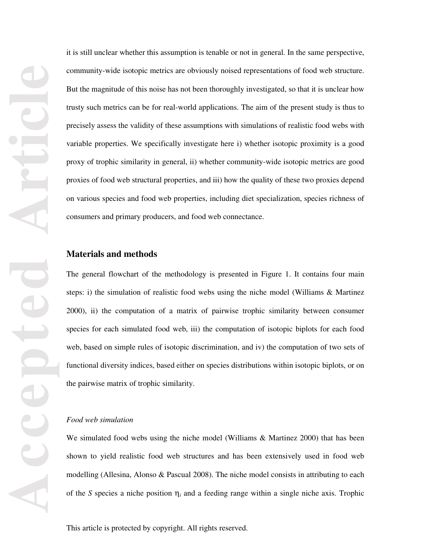it is still unclear whether this assumption is tenable or not in general. In the same perspective, community-wide isotopic metrics are obviously noised representations of food web structure. But the magnitude of this noise has not been thoroughly investigated, so that it is unclear how trusty such metrics can be for real-world applications. The aim of the present study is thus to precisely assess the validity of these assumptions with simulations of realistic food webs with variable properties. We specifically investigate here i) whether isotopic proximity is a good proxy of trophic similarity in general, ii) whether community-wide isotopic metrics are good proxies of food web structural properties, and iii) how the quality of these two proxies depend on various species and food web properties, including diet specialization, species richness of consumers and primary producers, and food web connectance.

## **Materials and methods**

The general flowchart of the methodology is presented in Figure 1. It contains four main steps: i) the simulation of realistic food webs using the niche model (Williams & Martinez 2000), ii) the computation of a matrix of pairwise trophic similarity between consumer species for each simulated food web, iii) the computation of isotopic biplots for each food web, based on simple rules of isotopic discrimination, and iv) the computation of two sets of functional diversity indices, based either on species distributions within isotopic biplots, or on the pairwise matrix of trophic similarity.

#### *Food web simulation*

We simulated food webs using the niche model (Williams & Martinez 2000) that has been shown to yield realistic food web structures and has been extensively used in food web modelling (Allesina, Alonso & Pascual 2008). The niche model consists in attributing to each of the *S* species a niche position  $\eta_i$  and a feeding range within a single niche axis. Trophic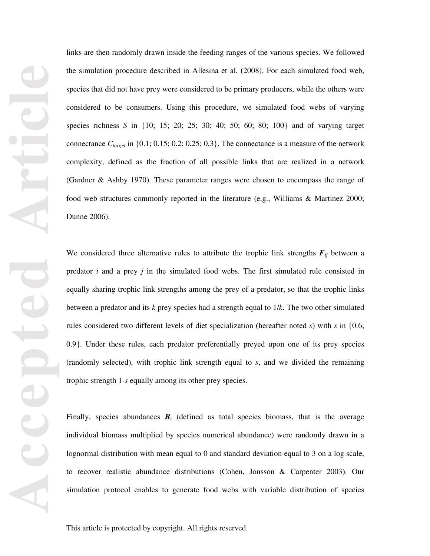links are then randomly drawn inside the feeding ranges of the various species. We followed the simulation procedure described in Allesina et al. (2008). For each simulated food web, species that did not have prey were considered to be primary producers, while the others were considered to be consumers. Using this procedure, we simulated food webs of varying species richness *S* in {10; 15; 20; 25; 30; 40; 50; 60; 80; 100} and of varying target connectance  $C_{target}$  in  $\{0.1; 0.15; 0.2; 0.25; 0.3\}$ . The connectance is a measure of the network complexity, defined as the fraction of all possible links that are realized in a network (Gardner & Ashby 1970). These parameter ranges were chosen to encompass the range of food web structures commonly reported in the literature (e.g., Williams & Martinez 2000; Dunne 2006).

We considered three alternative rules to attribute the trophic link strengths  $F_{ij}$  between a predator *i* and a prey *j* in the simulated food webs. The first simulated rule consisted in equally sharing trophic link strengths among the prey of a predator, so that the trophic links between a predator and its *k* prey species had a strength equal to 1/*k*. The two other simulated rules considered two different levels of diet specialization (hereafter noted *s*) with *s* in {0.6; 0.9}. Under these rules, each predator preferentially preyed upon one of its prey species (randomly selected), with trophic link strength equal to *s*, and we divided the remaining trophic strength 1-*s* equally among its other prey species.

Finally, species abundances  $B_i$  (defined as total species biomass, that is the average individual biomass multiplied by species numerical abundance) were randomly drawn in a lognormal distribution with mean equal to 0 and standard deviation equal to 3 on a log scale, to recover realistic abundance distributions (Cohen, Jonsson & Carpenter 2003). Our simulation protocol enables to generate food webs with variable distribution of species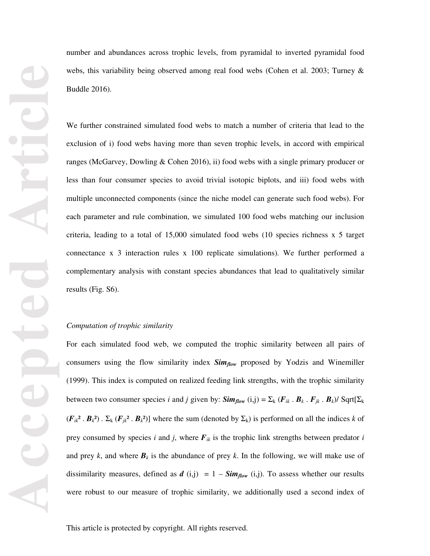number and abundances across trophic levels, from pyramidal to inverted pyramidal food webs, this variability being observed among real food webs (Cohen et al. 2003; Turney & Buddle 2016).

We further constrained simulated food webs to match a number of criteria that lead to the exclusion of i) food webs having more than seven trophic levels, in accord with empirical ranges (McGarvey, Dowling & Cohen 2016), ii) food webs with a single primary producer or less than four consumer species to avoid trivial isotopic biplots, and iii) food webs with multiple unconnected components (since the niche model can generate such food webs). For each parameter and rule combination, we simulated 100 food webs matching our inclusion criteria, leading to a total of 15,000 simulated food webs (10 species richness x 5 target connectance x 3 interaction rules x 100 replicate simulations). We further performed a complementary analysis with constant species abundances that lead to qualitatively similar results (Fig. S6).

#### *Computation of trophic similarity*

For each simulated food web, we computed the trophic similarity between all pairs of consumers using the flow similarity index *Simflow* proposed by Yodzis and Winemiller (1999). This index is computed on realized feeding link strengths, with the trophic similarity between two consumer species *i* and *j* given by:  $\textit{Sim}_{flow}(i,j) = \sum_{k} (F_{ik} \cdot B_k \cdot F_{jk} \cdot B_k)/$  Sqrt $[\sum_{k}$  $(F_{ik}^2 \cdot B_k^2) \cdot \Sigma_k (F_{jk}^2 \cdot B_k^2)$ ] where the sum (denoted by  $\Sigma_k$ ) is performed on all the indices *k* of prey consumed by species *i* and *j*, where  $F_{ik}$  is the trophic link strengths between predator *i* and prey *k*, and where  $B_k$  is the abundance of prey *k*. In the following, we will make use of dissimilarity measures, defined as  $d(i,j) = 1 - Sim_{flow}(i,j)$ . To assess whether our results were robust to our measure of trophic similarity, we additionally used a second index of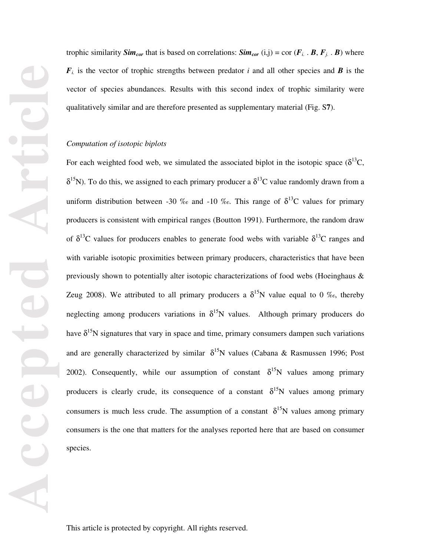trophic similarity *Sim<sub>cor*</sub> that is based on correlations: *Sim<sub>cor</sub>* (i,j) = cor ( $F_i$ .  $B$ ,  $F_j$ .  $B$ ) where  $F_i$  is the vector of trophic strengths between predator *i* and all other species and *B* is the vector of species abundances. Results with this second index of trophic similarity were qualitatively similar and are therefore presented as supplementary material (Fig. S**7**).

## *Computation of isotopic biplots*

For each weighted food web, we simulated the associated biplot in the isotopic space  $(\delta^{13}C,$  $\delta^{15}$ N). To do this, we assigned to each primary producer a  $\delta^{13}$ C value randomly drawn from a uniform distribution between -30 ‰ and -10 ‰. This range of  $\delta^{13}C$  values for primary producers is consistent with empirical ranges (Boutton 1991). Furthermore, the random draw of  $\delta^{13}$ C values for producers enables to generate food webs with variable  $\delta^{13}$ C ranges and with variable isotopic proximities between primary producers, characteristics that have been previously shown to potentially alter isotopic characterizations of food webs (Hoeinghaus & Zeug 2008). We attributed to all primary producers a  $\delta^{15}N$  value equal to 0 ‰, thereby neglecting among producers variations in  $\delta^{15}N$  values. Although primary producers do have  $\delta^{15}N$  signatures that vary in space and time, primary consumers dampen such variations and are generally characterized by similar  $\delta^{15}N$  values (Cabana & Rasmussen 1996; Post 2002). Consequently, while our assumption of constant  $\delta^{15}N$  values among primary producers is clearly crude, its consequence of a constant  $\delta^{15}N$  values among primary consumers is much less crude. The assumption of a constant  $\delta^{15}N$  values among primary consumers is the one that matters for the analyses reported here that are based on consumer species.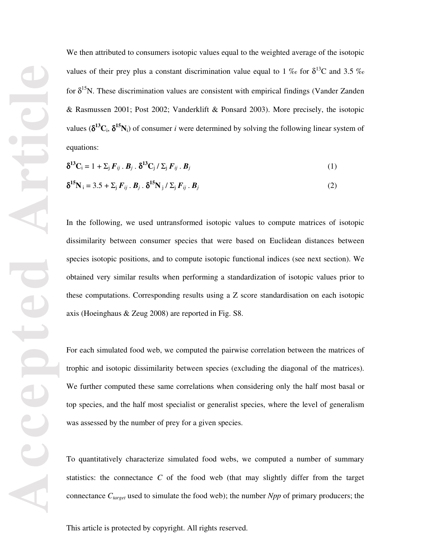We then attributed to consumers isotopic values equal to the weighted average of the isotopic values of their prey plus a constant discrimination value equal to 1 ‰ for  $\delta^{13}C$  and 3.5 ‰ for  $\delta^{15}N$ . These discrimination values are consistent with empirical findings (Vander Zanden & Rasmussen 2001; Post 2002; Vanderklift & Ponsard 2003). More precisely, the isotopic values ( $\delta^{13}C_i$ ,  $\delta^{15}N_i$ ) of consumer *i* were determined by solving the following linear system of equations:

$$
\delta^{13}\mathbf{C}_{\mathbf{i}} = 1 + \Sigma_j \mathbf{F}_{ij} \cdot \mathbf{B}_j \cdot \delta^{13}\mathbf{C}_j / \Sigma_j \mathbf{F}_{ij} \cdot \mathbf{B}_j \tag{1}
$$

$$
\delta^{15}\mathbf{N}_{\mathbf{i}} = 3.5 + \Sigma_{\mathbf{j}} F_{ij} \cdot \mathbf{B}_{j} \cdot \delta^{15}\mathbf{N}_{\mathbf{j}} / \Sigma_{\mathbf{j}} F_{ij} \cdot \mathbf{B}_{j}
$$
(2)

In the following, we used untransformed isotopic values to compute matrices of isotopic dissimilarity between consumer species that were based on Euclidean distances between species isotopic positions, and to compute isotopic functional indices (see next section). We obtained very similar results when performing a standardization of isotopic values prior to these computations. Corresponding results using a Z score standardisation on each isotopic axis (Hoeinghaus & Zeug 2008) are reported in Fig. S8.

For each simulated food web, we computed the pairwise correlation between the matrices of trophic and isotopic dissimilarity between species (excluding the diagonal of the matrices). We further computed these same correlations when considering only the half most basal or top species, and the half most specialist or generalist species, where the level of generalism was assessed by the number of prey for a given species.

To quantitatively characterize simulated food webs, we computed a number of summary statistics: the connectance *C* of the food web (that may slightly differ from the target connectance  $C_{target}$  used to simulate the food web); the number *Npp* of primary producers; the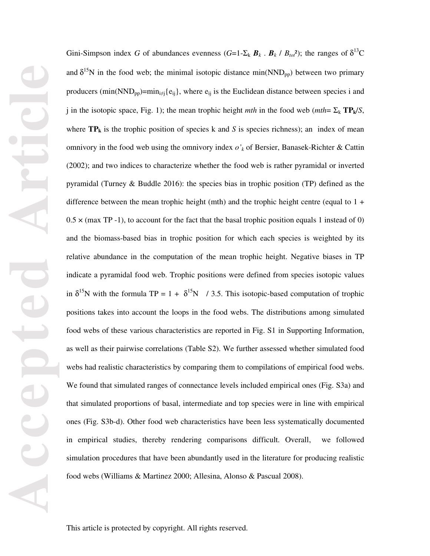Gini-Simpson index *G* of abundances evenness  $(G=1-\Sigma_k \mathbf{B}_k \cdot \mathbf{B}_k / B_{tot}^2)$ ; the ranges of  $\delta^{13}C$ and  $\delta^{15}N$  in the food web; the minimal isotopic distance min(NND<sub>pp</sub>) between two primary producers (min(NND<sub>pp</sub>)=min<sub>i≠j</sub>{e<sub>ij</sub>}, where e<sub>ij</sub> is the Euclidean distance between species i and j in the isotopic space, Fig. 1); the mean trophic height *mth* in the food web ( $mth = \Sigma_k \text{TP}_k/S$ , where  $TP_k$  is the trophic position of species k and *S* is species richness); an index of mean omnivory in the food web using the omnivory index *o'k* of Bersier, Banasek-Richter & Cattin (2002); and two indices to characterize whether the food web is rather pyramidal or inverted pyramidal (Turney & Buddle 2016): the species bias in trophic position (TP) defined as the difference between the mean trophic height (mth) and the trophic height centre (equal to  $1 +$  $0.5 \times$  (max TP -1), to account for the fact that the basal trophic position equals 1 instead of 0) and the biomass-based bias in trophic position for which each species is weighted by its relative abundance in the computation of the mean trophic height. Negative biases in TP indicate a pyramidal food web. Trophic positions were defined from species isotopic values in  $\delta^{15}N$  with the formula TP = 1 +  $\delta^{15}N$  / 3.5. This isotopic-based computation of trophic positions takes into account the loops in the food webs. The distributions among simulated food webs of these various characteristics are reported in Fig. S1 in Supporting Information, as well as their pairwise correlations (Table S2). We further assessed whether simulated food webs had realistic characteristics by comparing them to compilations of empirical food webs. We found that simulated ranges of connectance levels included empirical ones (Fig. S3a) and that simulated proportions of basal, intermediate and top species were in line with empirical ones (Fig. S3b-d). Other food web characteristics have been less systematically documented in empirical studies, thereby rendering comparisons difficult. Overall, we followed simulation procedures that have been abundantly used in the literature for producing realistic food webs (Williams & Martinez 2000; Allesina, Alonso & Pascual 2008).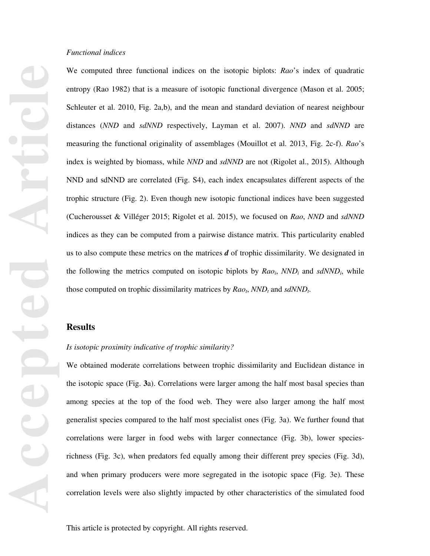#### *Functional indices*

We computed three functional indices on the isotopic biplots: *Rao*'s index of quadratic entropy (Rao 1982) that is a measure of isotopic functional divergence (Mason et al. 2005; Schleuter et al. 2010, Fig. 2a,b), and the mean and standard deviation of nearest neighbour distances (*NND* and *sdNND* respectively, Layman et al. 2007). *NND* and *sdNND* are measuring the functional originality of assemblages (Mouillot et al. 2013, Fig. 2c-f). *Rao*'s index is weighted by biomass, while *NND* and *sdNND* are not (Rigolet al., 2015). Although NND and sdNND are correlated (Fig. S4), each index encapsulates different aspects of the trophic structure (Fig. 2). Even though new isotopic functional indices have been suggested (Cucherousset & Villéger 2015; Rigolet et al. 2015), we focused on *Rao*, *NND* and *sdNND* indices as they can be computed from a pairwise distance matrix. This particularity enabled us to also compute these metrics on the matrices *d* of trophic dissimilarity. We designated in the following the metrics computed on isotopic biplots by *Raoi*, *NNDi* and *sdNNDi*, while those computed on trophic dissimilarity matrices by  $Rao_t$ ,  $NND_t$  and  $sdNND_t$ .

#### **Results**

#### *Is isotopic proximity indicative of trophic similarity?*

We obtained moderate correlations between trophic dissimilarity and Euclidean distance in the isotopic space (Fig. **3**a). Correlations were larger among the half most basal species than among species at the top of the food web. They were also larger among the half most generalist species compared to the half most specialist ones (Fig. 3a). We further found that correlations were larger in food webs with larger connectance (Fig. 3b), lower speciesrichness (Fig. 3c), when predators fed equally among their different prey species (Fig. 3d), and when primary producers were more segregated in the isotopic space (Fig. 3e). These correlation levels were also slightly impacted by other characteristics of the simulated food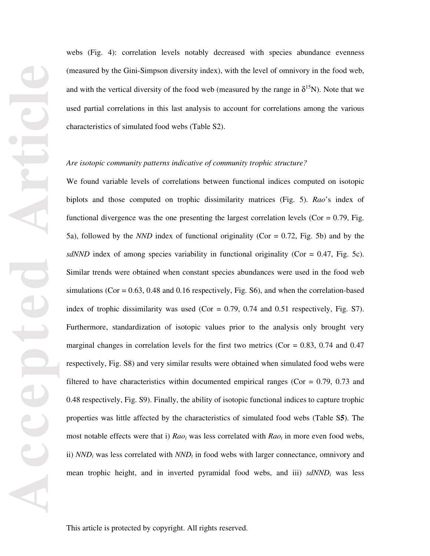webs (Fig. 4): correlation levels notably decreased with species abundance evenness (measured by the Gini-Simpson diversity index), with the level of omnivory in the food web, and with the vertical diversity of the food web (measured by the range in  $\delta^{15}N$ ). Note that we used partial correlations in this last analysis to account for correlations among the various characteristics of simulated food webs (Table S2).

#### *Are isotopic community patterns indicative of community trophic structure?*

We found variable levels of correlations between functional indices computed on isotopic biplots and those computed on trophic dissimilarity matrices (Fig. 5). *Rao*'s index of functional divergence was the one presenting the largest correlation levels ( $Cor = 0.79$ , Fig. 5a), followed by the *NND* index of functional originality (Cor = 0.72, Fig. 5b) and by the *sdNND* index of among species variability in functional originality (Cor =  $0.47$ , Fig. 5c). Similar trends were obtained when constant species abundances were used in the food web simulations ( $Cor = 0.63$ , 0.48 and 0.16 respectively, Fig. S6), and when the correlation-based index of trophic dissimilarity was used (Cor =  $0.79$ ,  $0.74$  and  $0.51$  respectively, Fig. S7). Furthermore, standardization of isotopic values prior to the analysis only brought very marginal changes in correlation levels for the first two metrics ( $Cor = 0.83, 0.74$  and  $0.47$ ) respectively, Fig. S8) and very similar results were obtained when simulated food webs were filtered to have characteristics within documented empirical ranges (Cor  $= 0.79, 0.73$  and 0.48 respectively, Fig. S9). Finally, the ability of isotopic functional indices to capture trophic properties was little affected by the characteristics of simulated food webs (Table S**5**). The most notable effects were that i)  $Rao_i$  was less correlated with  $Rao_i$  in more even food webs, ii)  $NND_i$  was less correlated with  $NND_i$  in food webs with larger connectance, omnivory and mean trophic height, and in inverted pyramidal food webs, and iii) *sdNNDi* was less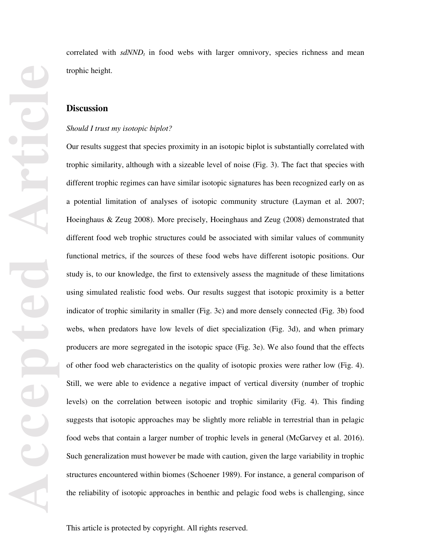correlated with  $sdNND<sub>t</sub>$  in food webs with larger omnivory, species richness and mean trophic height.

#### **Discussion**

#### *Should I trust my isotopic biplot?*

Our results suggest that species proximity in an isotopic biplot is substantially correlated with trophic similarity, although with a sizeable level of noise (Fig. 3). The fact that species with different trophic regimes can have similar isotopic signatures has been recognized early on as a potential limitation of analyses of isotopic community structure (Layman et al. 2007; Hoeinghaus & Zeug 2008). More precisely, Hoeinghaus and Zeug (2008) demonstrated that different food web trophic structures could be associated with similar values of community functional metrics, if the sources of these food webs have different isotopic positions. Our study is, to our knowledge, the first to extensively assess the magnitude of these limitations using simulated realistic food webs. Our results suggest that isotopic proximity is a better indicator of trophic similarity in smaller (Fig. 3c) and more densely connected (Fig. 3b) food webs, when predators have low levels of diet specialization (Fig. 3d), and when primary producers are more segregated in the isotopic space (Fig. 3e). We also found that the effects of other food web characteristics on the quality of isotopic proxies were rather low (Fig. 4). Still, we were able to evidence a negative impact of vertical diversity (number of trophic levels) on the correlation between isotopic and trophic similarity (Fig. 4). This finding suggests that isotopic approaches may be slightly more reliable in terrestrial than in pelagic food webs that contain a larger number of trophic levels in general (McGarvey et al. 2016). Such generalization must however be made with caution, given the large variability in trophic structures encountered within biomes (Schoener 1989). For instance, a general comparison of the reliability of isotopic approaches in benthic and pelagic food webs is challenging, since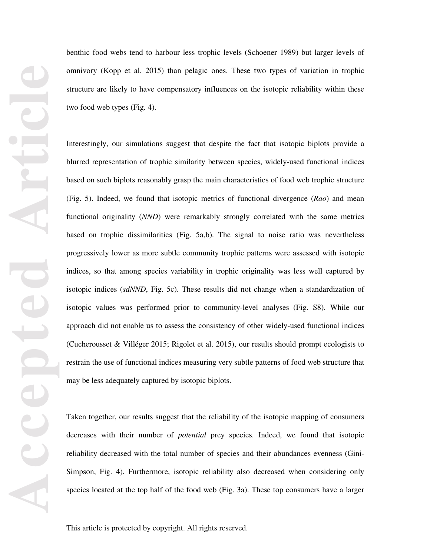benthic food webs tend to harbour less trophic levels (Schoener 1989) but larger levels of omnivory (Kopp et al. 2015) than pelagic ones. These two types of variation in trophic structure are likely to have compensatory influences on the isotopic reliability within these two food web types (Fig. 4).

Interestingly, our simulations suggest that despite the fact that isotopic biplots provide a blurred representation of trophic similarity between species, widely-used functional indices based on such biplots reasonably grasp the main characteristics of food web trophic structure (Fig. 5). Indeed, we found that isotopic metrics of functional divergence (*Rao*) and mean functional originality (*NND*) were remarkably strongly correlated with the same metrics based on trophic dissimilarities (Fig. 5a,b). The signal to noise ratio was nevertheless progressively lower as more subtle community trophic patterns were assessed with isotopic indices, so that among species variability in trophic originality was less well captured by isotopic indices (*sdNND*, Fig. 5c). These results did not change when a standardization of isotopic values was performed prior to community-level analyses (Fig. S8). While our approach did not enable us to assess the consistency of other widely-used functional indices (Cucherousset & Villéger 2015; Rigolet et al. 2015), our results should prompt ecologists to restrain the use of functional indices measuring very subtle patterns of food web structure that may be less adequately captured by isotopic biplots.

Taken together, our results suggest that the reliability of the isotopic mapping of consumers decreases with their number of *potential* prey species. Indeed, we found that isotopic reliability decreased with the total number of species and their abundances evenness (Gini-Simpson, Fig. 4). Furthermore, isotopic reliability also decreased when considering only species located at the top half of the food web (Fig. 3a). These top consumers have a larger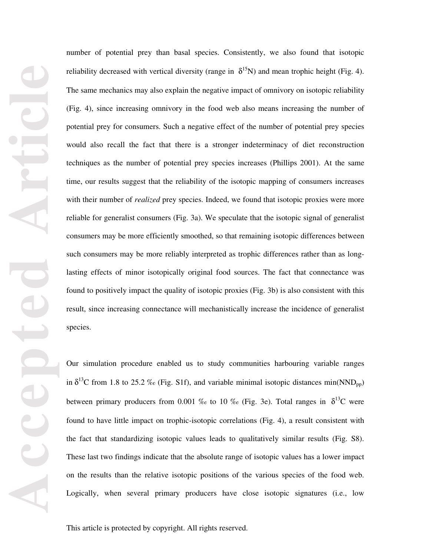number of potential prey than basal species. Consistently, we also found that isotopic reliability decreased with vertical diversity (range in  $\delta^{15}N$ ) and mean trophic height (Fig. 4). The same mechanics may also explain the negative impact of omnivory on isotopic reliability (Fig. 4), since increasing omnivory in the food web also means increasing the number of potential prey for consumers. Such a negative effect of the number of potential prey species would also recall the fact that there is a stronger indeterminacy of diet reconstruction techniques as the number of potential prey species increases (Phillips 2001). At the same time, our results suggest that the reliability of the isotopic mapping of consumers increases with their number of *realized* prey species. Indeed, we found that isotopic proxies were more reliable for generalist consumers (Fig. 3a). We speculate that the isotopic signal of generalist consumers may be more efficiently smoothed, so that remaining isotopic differences between such consumers may be more reliably interpreted as trophic differences rather than as longlasting effects of minor isotopically original food sources. The fact that connectance was found to positively impact the quality of isotopic proxies (Fig. 3b) is also consistent with this result, since increasing connectance will mechanistically increase the incidence of generalist species.

Our simulation procedure enabled us to study communities harbouring variable ranges in  $\delta^{13}$ C from 1.8 to 25.2 ‰ (Fig. S1f), and variable minimal isotopic distances min(NND<sub>pp</sub>) between primary producers from 0.001 ‰ to 10 ‰ (Fig. 3e). Total ranges in  $\delta^{13}C$  were found to have little impact on trophic-isotopic correlations (Fig. 4), a result consistent with the fact that standardizing isotopic values leads to qualitatively similar results (Fig. S8). These last two findings indicate that the absolute range of isotopic values has a lower impact on the results than the relative isotopic positions of the various species of the food web. Logically, when several primary producers have close isotopic signatures (i.e., low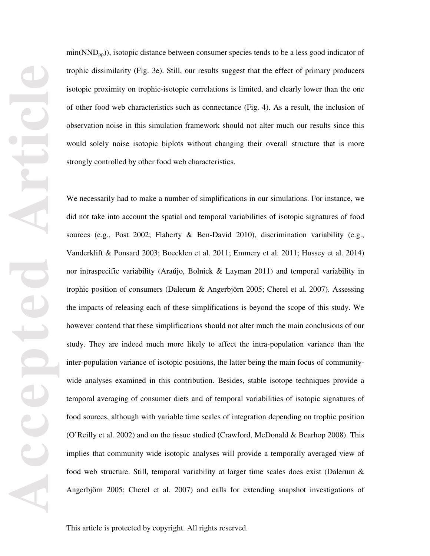$min(NND_{pp})$ , isotopic distance between consumer species tends to be a less good indicator of trophic dissimilarity (Fig. 3e). Still, our results suggest that the effect of primary producers isotopic proximity on trophic-isotopic correlations is limited, and clearly lower than the one of other food web characteristics such as connectance (Fig. 4). As a result, the inclusion of observation noise in this simulation framework should not alter much our results since this would solely noise isotopic biplots without changing their overall structure that is more strongly controlled by other food web characteristics.

We necessarily had to make a number of simplifications in our simulations. For instance, we did not take into account the spatial and temporal variabilities of isotopic signatures of food sources (e.g., Post 2002; Flaherty & Ben-David 2010), discrimination variability (e.g., Vanderklift & Ponsard 2003; Boecklen et al. 2011; Emmery et al. 2011; Hussey et al. 2014) nor intraspecific variability (Araújo, Bolnick & Layman 2011) and temporal variability in trophic position of consumers (Dalerum & Angerbjörn 2005; Cherel et al. 2007). Assessing the impacts of releasing each of these simplifications is beyond the scope of this study. We however contend that these simplifications should not alter much the main conclusions of our study. They are indeed much more likely to affect the intra-population variance than the inter-population variance of isotopic positions, the latter being the main focus of communitywide analyses examined in this contribution. Besides, stable isotope techniques provide a temporal averaging of consumer diets and of temporal variabilities of isotopic signatures of food sources, although with variable time scales of integration depending on trophic position (O'Reilly et al. 2002) and on the tissue studied (Crawford, McDonald & Bearhop 2008). This implies that community wide isotopic analyses will provide a temporally averaged view of food web structure. Still, temporal variability at larger time scales does exist (Dalerum & Angerbjörn 2005; Cherel et al. 2007) and calls for extending snapshot investigations of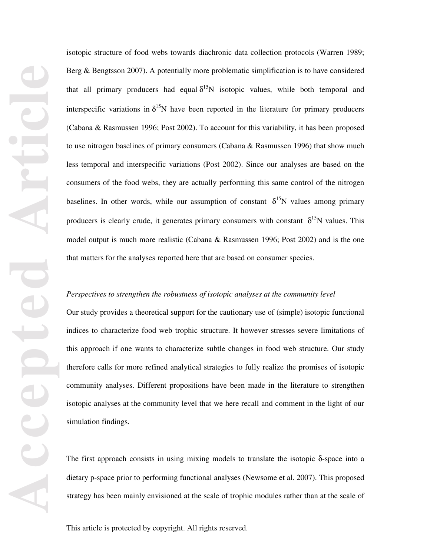isotopic structure of food webs towards diachronic data collection protocols (Warren 1989; Berg & Bengtsson 2007). A potentially more problematic simplification is to have considered that all primary producers had equal  $\delta^{15}N$  isotopic values, while both temporal and interspecific variations in  $\delta^{15}N$  have been reported in the literature for primary producers (Cabana & Rasmussen 1996; Post 2002). To account for this variability, it has been proposed to use nitrogen baselines of primary consumers (Cabana & Rasmussen 1996) that show much less temporal and interspecific variations (Post 2002). Since our analyses are based on the consumers of the food webs, they are actually performing this same control of the nitrogen baselines. In other words, while our assumption of constant  $\delta^{15}N$  values among primary producers is clearly crude, it generates primary consumers with constant  $\delta^{15}N$  values. This model output is much more realistic (Cabana & Rasmussen 1996; Post 2002) and is the one that matters for the analyses reported here that are based on consumer species.

#### *Perspectives to strengthen the robustness of isotopic analyses at the community level*

Our study provides a theoretical support for the cautionary use of (simple) isotopic functional indices to characterize food web trophic structure. It however stresses severe limitations of this approach if one wants to characterize subtle changes in food web structure. Our study therefore calls for more refined analytical strategies to fully realize the promises of isotopic community analyses. Different propositions have been made in the literature to strengthen isotopic analyses at the community level that we here recall and comment in the light of our simulation findings.

The first approach consists in using mixing models to translate the isotopic  $\delta$ -space into a dietary p-space prior to performing functional analyses (Newsome et al. 2007). This proposed strategy has been mainly envisioned at the scale of trophic modules rather than at the scale of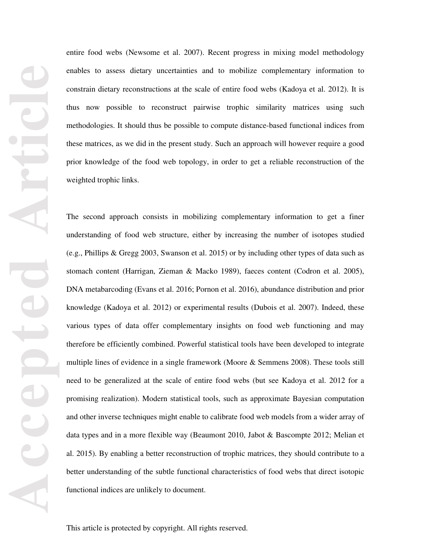entire food webs (Newsome et al. 2007). Recent progress in mixing model methodology enables to assess dietary uncertainties and to mobilize complementary information to constrain dietary reconstructions at the scale of entire food webs (Kadoya et al. 2012). It is thus now possible to reconstruct pairwise trophic similarity matrices using such methodologies. It should thus be possible to compute distance-based functional indices from these matrices, as we did in the present study. Such an approach will however require a good prior knowledge of the food web topology, in order to get a reliable reconstruction of the weighted trophic links.

The second approach consists in mobilizing complementary information to get a finer understanding of food web structure, either by increasing the number of isotopes studied (e.g., Phillips & Gregg 2003, Swanson et al. 2015) or by including other types of data such as stomach content (Harrigan, Zieman & Macko 1989), faeces content (Codron et al. 2005), DNA metabarcoding (Evans et al. 2016; Pornon et al. 2016), abundance distribution and prior knowledge (Kadoya et al. 2012) or experimental results (Dubois et al. 2007). Indeed, these various types of data offer complementary insights on food web functioning and may therefore be efficiently combined. Powerful statistical tools have been developed to integrate multiple lines of evidence in a single framework (Moore & Semmens 2008). These tools still need to be generalized at the scale of entire food webs (but see Kadoya et al. 2012 for a promising realization). Modern statistical tools, such as approximate Bayesian computation and other inverse techniques might enable to calibrate food web models from a wider array of data types and in a more flexible way (Beaumont 2010, Jabot & Bascompte 2012; Melian et al. 2015). By enabling a better reconstruction of trophic matrices, they should contribute to a better understanding of the subtle functional characteristics of food webs that direct isotopic functional indices are unlikely to document.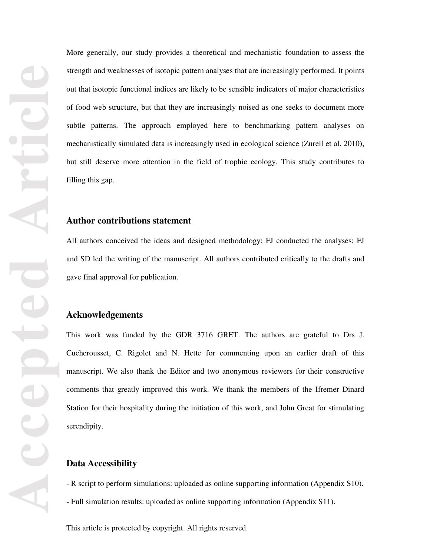More generally, our study provides a theoretical and mechanistic foundation to assess the strength and weaknesses of isotopic pattern analyses that are increasingly performed. It points out that isotopic functional indices are likely to be sensible indicators of major characteristics of food web structure, but that they are increasingly noised as one seeks to document more subtle patterns. The approach employed here to benchmarking pattern analyses on mechanistically simulated data is increasingly used in ecological science (Zurell et al. 2010), but still deserve more attention in the field of trophic ecology. This study contributes to filling this gap.

## **Author contributions statement**

All authors conceived the ideas and designed methodology; FJ conducted the analyses; FJ and SD led the writing of the manuscript. All authors contributed critically to the drafts and gave final approval for publication.

## **Acknowledgements**

This work was funded by the GDR 3716 GRET. The authors are grateful to Drs J. Cucherousset, C. Rigolet and N. Hette for commenting upon an earlier draft of this manuscript. We also thank the Editor and two anonymous reviewers for their constructive comments that greatly improved this work. We thank the members of the Ifremer Dinard Station for their hospitality during the initiation of this work, and John Great for stimulating serendipity.

## **Data Accessibility**

- R script to perform simulations: uploaded as online supporting information (Appendix S10).
- Full simulation results: uploaded as online supporting information (Appendix S11).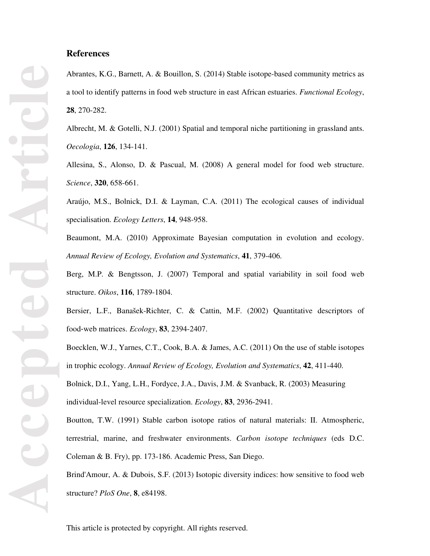## **References**

Abrantes, K.G., Barnett, A. & Bouillon, S. (2014) Stable isotope-based community metrics as a tool to identify patterns in food web structure in east African estuaries. *Functional Ecology*, **28**, 270-282.

Albrecht, M. & Gotelli, N.J. (2001) Spatial and temporal niche partitioning in grassland ants. *Oecologia*, **126**, 134-141.

Allesina, S., Alonso, D. & Pascual, M. (2008) A general model for food web structure. *Science*, **320**, 658-661.

Araújo, M.S., Bolnick, D.I. & Layman, C.A. (2011) The ecological causes of individual specialisation. *Ecology Letters*, **14**, 948-958.

Beaumont, M.A. (2010) Approximate Bayesian computation in evolution and ecology. *Annual Review of Ecology, Evolution and Systematics*, **41**, 379-406.

Berg, M.P. & Bengtsson, J. (2007) Temporal and spatial variability in soil food web structure. *Oikos*, **116**, 1789-1804.

Bersier, L.F., Banašek-Richter, C. & Cattin, M.F. (2002) Quantitative descriptors of food‐web matrices. *Ecology*, **83**, 2394-2407.

Boecklen, W.J., Yarnes, C.T., Cook, B.A. & James, A.C. (2011) On the use of stable isotopes in trophic ecology. *Annual Review of Ecology, Evolution and Systematics*, **42**, 411-440.

Bolnick, D.I., Yang, L.H., Fordyce, J.A., Davis, J.M. & Svanback, R. (2003) Measuring individual-level resource specialization. *Ecology*, **83**, 2936-2941.

Boutton, T.W. (1991) Stable carbon isotope ratios of natural materials: II. Atmospheric, terrestrial, marine, and freshwater environments. *Carbon isotope techniques* (eds D.C. Coleman & B. Fry), pp. 173-186. Academic Press, San Diego.

Brind'Amour, A. & Dubois, S.F. (2013) Isotopic diversity indices: how sensitive to food web structure? *PloS One*, **8**, e84198.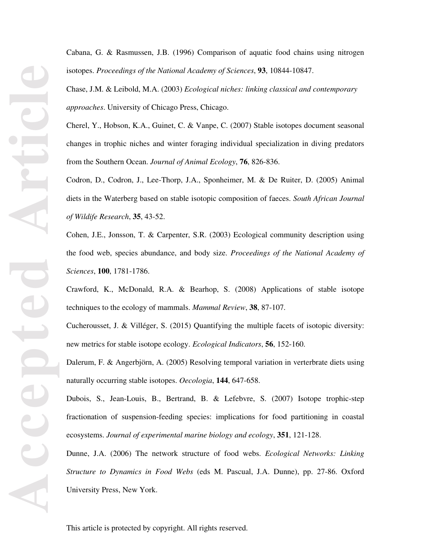Cabana, G. & Rasmussen, J.B. (1996) Comparison of aquatic food chains using nitrogen isotopes. *Proceedings of the National Academy of Sciences*, **93**, 10844-10847.

Chase, J.M. & Leibold, M.A. (2003) *Ecological niches: linking classical and contemporary approaches*. University of Chicago Press, Chicago.

Cherel, Y., Hobson, K.A., Guinet, C. & Vanpe, C. (2007) Stable isotopes document seasonal changes in trophic niches and winter foraging individual specialization in diving predators from the Southern Ocean. *Journal of Animal Ecology*, **76**, 826-836.

Codron, D., Codron, J., Lee-Thorp, J.A., Sponheimer, M. & De Ruiter, D. (2005) Animal diets in the Waterberg based on stable isotopic composition of faeces. *South African Journal of Wildife Research*, **35**, 43-52.

Cohen, J.E., Jonsson, T. & Carpenter, S.R. (2003) Ecological community description using the food web, species abundance, and body size. *Proceedings of the National Academy of Sciences*, **100**, 1781-1786.

Crawford, K., McDonald, R.A. & Bearhop, S. (2008) Applications of stable isotope techniques to the ecology of mammals. *Mammal Review*, **38**, 87-107.

Cucherousset, J. & Villéger, S. (2015) Quantifying the multiple facets of isotopic diversity: new metrics for stable isotope ecology. *Ecological Indicators*, **56**, 152-160.

Dalerum, F. & Angerbjörn, A. (2005) Resolving temporal variation in verterbrate diets using naturally occurring stable isotopes. *Oecologia*, **144**, 647-658.

Dubois, S., Jean-Louis, B., Bertrand, B. & Lefebvre, S. (2007) Isotope trophic-step fractionation of suspension-feeding species: implications for food partitioning in coastal ecosystems. *Journal of experimental marine biology and ecology*, **351**, 121-128.

Dunne, J.A. (2006) The network structure of food webs. *Ecological Networks: Linking Structure to Dynamics in Food Webs* (eds M. Pascual, J.A. Dunne), pp. 27-86. Oxford University Press, New York.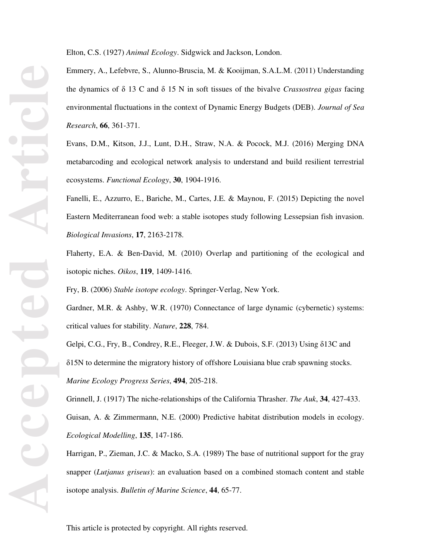Elton, C.S. (1927) *Animal Ecology*. Sidgwick and Jackson, London.

Emmery, A., Lefebvre, S., Alunno-Bruscia, M. & Kooijman, S.A.L.M. (2011) Understanding the dynamics of δ 13 C and δ 15 N in soft tissues of the bivalve *Crassostrea gigas* facing environmental fluctuations in the context of Dynamic Energy Budgets (DEB). *Journal of Sea Research*, **66**, 361-371.

Evans, D.M., Kitson, J.J., Lunt, D.H., Straw, N.A. & Pocock, M.J. (2016) Merging DNA metabarcoding and ecological network analysis to understand and build resilient terrestrial ecosystems. *Functional Ecology*, **30**, 1904-1916.

Fanelli, E., Azzurro, E., Bariche, M., Cartes, J.E. & Maynou, F. (2015) Depicting the novel Eastern Mediterranean food web: a stable isotopes study following Lessepsian fish invasion. *Biological Invasions*, **17**, 2163-2178.

Flaherty, E.A. & Ben-David, M. (2010) Overlap and partitioning of the ecological and isotopic niches. *Oikos*, **119**, 1409-1416.

Fry, B. (2006) *Stable isotope ecology*. Springer-Verlag, New York.

Gardner, M.R. & Ashby, W.R. (1970) Connectance of large dynamic (cybernetic) systems: critical values for stability. *Nature*, **228**, 784.

Gelpi, C.G., Fry, B., Condrey, R.E., Fleeger, J.W. & Dubois, S.F. (2013) Using δ13C and δ15N to determine the migratory history of offshore Louisiana blue crab spawning stocks. *Marine Ecology Progress Series*, **494**, 205-218.

Grinnell, J. (1917) The niche-relationships of the California Thrasher. *The Auk*, **34**, 427-433. Guisan, A. & Zimmermann, N.E. (2000) Predictive habitat distribution models in ecology. *Ecological Modelling*, **135**, 147-186.

Harrigan, P., Zieman, J.C. & Macko, S.A. (1989) The base of nutritional support for the gray snapper (*Lutjanus griseus*): an evaluation based on a combined stomach content and stable isotope analysis. *Bulletin of Marine Science*, **44**, 65-77.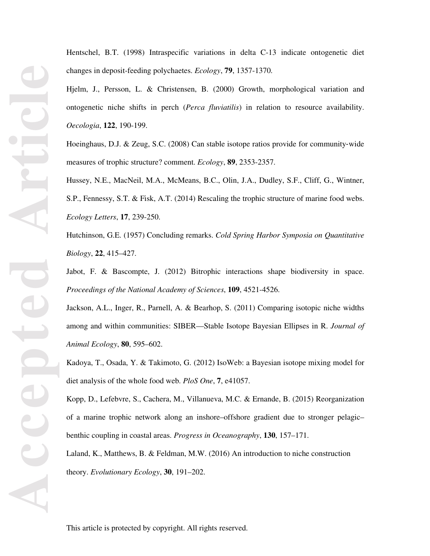Hentschel, B.T. (1998) Intraspecific variations in delta C-13 indicate ontogenetic diet changes in deposit-feeding polychaetes. *Ecology*, **79**, 1357-1370.

Hjelm, J., Persson, L. & Christensen, B. (2000) Growth, morphological variation and ontogenetic niche shifts in perch (*Perca fluviatilis*) in relation to resource availability. *Oecologia*, **122**, 190-199.

Hoeinghaus, D.J. & Zeug, S.C. (2008) Can stable isotope ratios provide for community-wide measures of trophic structure? comment. *Ecology*, **89**, 2353-2357.

Hussey, N.E., MacNeil, M.A., McMeans, B.C., Olin, J.A., Dudley, S.F., Cliff, G., Wintner, S.P., Fennessy, S.T. & Fisk, A.T. (2014) Rescaling the trophic structure of marine food webs. *Ecology Letters*, **17**, 239-250.

Hutchinson, G.E. (1957) Concluding remarks. *Cold Spring Harbor Symposia on Quantitative Biology*, **22**, 415–427.

Jabot, F. & Bascompte, J. (2012) Bitrophic interactions shape biodiversity in space. *Proceedings of the National Academy of Sciences*, **109**, 4521-4526.

Jackson, A.L., Inger, R., Parnell, A. & Bearhop, S. (2011) Comparing isotopic niche widths among and within communities: SIBER—Stable Isotope Bayesian Ellipses in R. *Journal of Animal Ecology*, **80**, 595–602.

Kadoya, T., Osada, Y. & Takimoto, G. (2012) IsoWeb: a Bayesian isotope mixing model for diet analysis of the whole food web. *PloS One*, **7**, e41057.

Kopp, D., Lefebvre, S., Cachera, M., Villanueva, M.C. & Ernande, B. (2015) Reorganization of a marine trophic network along an inshore–offshore gradient due to stronger pelagic– benthic coupling in coastal areas. *Progress in Oceanography*, **130**, 157–171.

Laland, K., Matthews, B. & Feldman, M.W. (2016) An introduction to niche construction theory. *Evolutionary Ecology*, **30**, 191–202.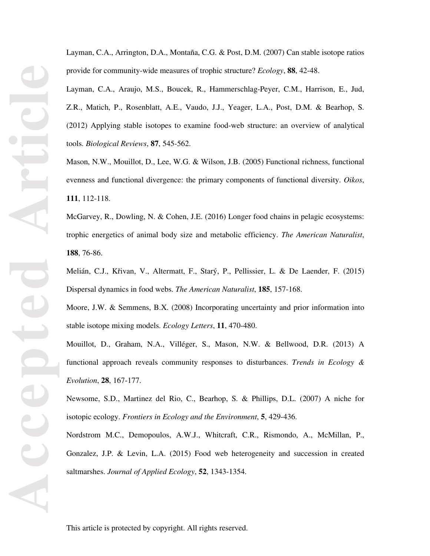Layman, C.A., Arrington, D.A., Montaña, C.G. & Post, D.M. (2007) Can stable isotope ratios provide for community-wide measures of trophic structure? *Ecology*, **88**, 42-48.

Layman, C.A., Araujo, M.S., Boucek, R., Hammerschlag-Peyer, C.M., Harrison, E., Jud, Z.R., Matich, P., Rosenblatt, A.E., Vaudo, J.J., Yeager, L.A., Post, D.M. & Bearhop, S. (2012) Applying stable isotopes to examine food-web structure: an overview of analytical tools. *Biological Reviews*, **87**, 545-562.

Mason, N.W., Mouillot, D., Lee, W.G. & Wilson, J.B. (2005) Functional richness, functional evenness and functional divergence: the primary components of functional diversity. *Oikos*, **111**, 112-118.

McGarvey, R., Dowling, N. & Cohen, J.E. (2016) Longer food chains in pelagic ecosystems: trophic energetics of animal body size and metabolic efficiency. *The American Naturalist*, **188**, 76-86.

Melián, C.J., Křivan, V., Altermatt, F., Starý, P., Pellissier, L. & De Laender, F. (2015) Dispersal dynamics in food webs. *The American Naturalist*, **185**, 157-168.

Moore, J.W. & Semmens, B.X. (2008) Incorporating uncertainty and prior information into stable isotope mixing models. *Ecology Letters*, **11**, 470-480.

Mouillot, D., Graham, N.A., Villéger, S., Mason, N.W. & Bellwood, D.R. (2013) A functional approach reveals community responses to disturbances. *Trends in Ecology & Evolution*, **28**, 167-177.

Newsome, S.D., Martinez del Rio, C., Bearhop, S. & Phillips, D.L. (2007) A niche for isotopic ecology. *Frontiers in Ecology and the Environment*, **5**, 429-436.

Nordstrom M.C., Demopoulos, A.W.J., Whitcraft, C.R., Rismondo, A., McMillan, P., Gonzalez, J.P. & Levin, L.A. (2015) Food web heterogeneity and succession in created saltmarshes. *Journal of Applied Ecology*, **52**, 1343-1354.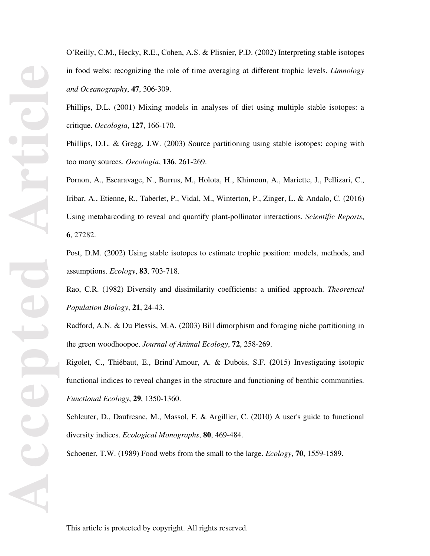O'Reilly, C.M., Hecky, R.E., Cohen, A.S. & Plisnier, P.D. (2002) Interpreting stable isotopes in food webs: recognizing the role of time averaging at different trophic levels. *Limnology and Oceanography*, **47**, 306-309.

Phillips, D.L. (2001) Mixing models in analyses of diet using multiple stable isotopes: a critique. *Oecologia*, **127**, 166-170.

Phillips, D.L. & Gregg, J.W. (2003) Source partitioning using stable isotopes: coping with too many sources. *Oecologia*, **136**, 261-269.

Pornon, A., Escaravage, N., Burrus, M., Holota, H., Khimoun, A., Mariette, J., Pellizari, C., Iribar, A., Etienne, R., Taberlet, P., Vidal, M., Winterton, P., Zinger, L. & Andalo, C. (2016) Using metabarcoding to reveal and quantify plant-pollinator interactions. *Scientific Reports*, **6**, 27282.

Post, D.M. (2002) Using stable isotopes to estimate trophic position: models, methods, and assumptions. *Ecology*, **83**, 703-718.

Rao, C.R. (1982) Diversity and dissimilarity coefficients: a unified approach. *Theoretical Population Biology*, **21**, 24-43.

Radford, A.N. & Du Plessis, M.A. (2003) Bill dimorphism and foraging niche partitioning in the green woodhoopoe. *Journal of Animal Ecology*, **72**, 258-269.

Rigolet, C., Thiébaut, E., Brind'Amour, A. & Dubois, S.F. **(**2015) Investigating isotopic functional indices to reveal changes in the structure and functioning of benthic communities. *Functional Ecology*, **29**, 1350-1360.

Schleuter, D., Daufresne, M., Massol, F. & Argillier, C. (2010) A user's guide to functional diversity indices. *Ecological Monographs*, **80**, 469-484.

Schoener, T.W. (1989) Food webs from the small to the large. *Ecology*, **70**, 1559-1589.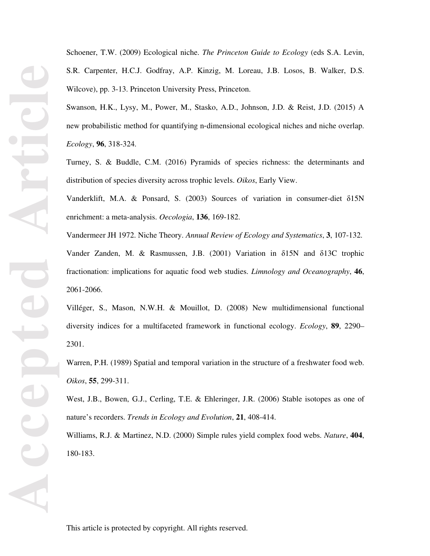Schoener, T.W. (2009) Ecological niche. *The Princeton Guide to Ecology* (eds S.A. Levin, S.R. Carpenter, H.C.J. Godfray, A.P. Kinzig, M. Loreau, J.B. Losos, B. Walker, D.S. Wilcove), pp. 3-13. Princeton University Press, Princeton.

Swanson, H.K., Lysy, M., Power, M., Stasko, A.D., Johnson, J.D. & Reist, J.D. (2015) A new probabilistic method for quantifying n‐dimensional ecological niches and niche overlap. *Ecology*, **96**, 318-324.

Turney, S. & Buddle, C.M. (2016) Pyramids of species richness: the determinants and distribution of species diversity across trophic levels. *Oikos*, Early View.

Vanderklift, M.A. & Ponsard, S. (2003) Sources of variation in consumer-diet δ15N enrichment: a meta-analysis. *Oecologia*, **136**, 169-182.

Vandermeer JH 1972. Niche Theory. *Annual Review of Ecology and Systematics*, **3**, 107-132. Vander Zanden, M. & Rasmussen, J.B. (2001) Variation in δ15N and δ13C trophic fractionation: implications for aquatic food web studies. *Limnology and Oceanography*, **46**, 2061-2066.

Villéger, S., Mason, N.W.H. & Mouillot, D. (2008) New multidimensional functional diversity indices for a multifaceted framework in functional ecology. *Ecology*, **89**, 2290– 2301.

Warren, P.H. (1989) Spatial and temporal variation in the structure of a freshwater food web. *Oikos*, **55**, 299-311.

West, J.B., Bowen, G.J., Cerling, T.E. & Ehleringer, J.R. (2006) Stable isotopes as one of nature's recorders. *Trends in Ecology and Evolution*, **21**, 408-414.

Williams, R.J. & Martinez, N.D. (2000) Simple rules yield complex food webs. *Nature*, **404**, 180-183.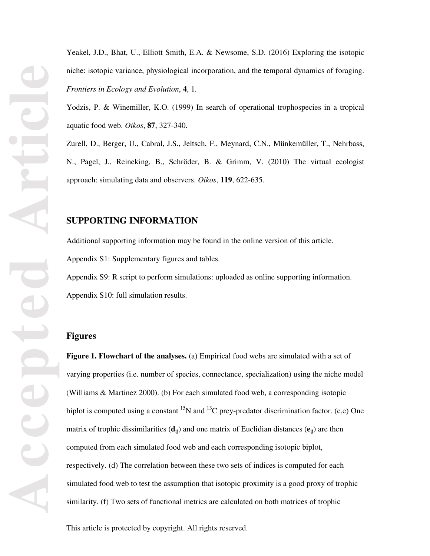Yeakel, J.D., Bhat, U., Elliott Smith, E.A. & Newsome, S.D. (2016) Exploring the isotopic niche: isotopic variance, physiological incorporation, and the temporal dynamics of foraging. *Frontiers in Ecology and Evolution*, **4**, 1.

Yodzis, P. & Winemiller, K.O. (1999) In search of operational trophospecies in a tropical aquatic food web. *Oikos*, **87**, 327-340.

Zurell, D., Berger, U., Cabral, J.S., Jeltsch, F., Meynard, C.N., Münkemüller, T., Nehrbass, N., Pagel, J., Reineking, B., Schröder, B. & Grimm, V. (2010) The virtual ecologist approach: simulating data and observers. *Oikos*, **119**, 622-635.

## **SUPPORTING INFORMATION**

Additional supporting information may be found in the online version of this article. Appendix S1: Supplementary figures and tables.

Appendix S9: R script to perform simulations: uploaded as online supporting information. Appendix S10: full simulation results.

## **Figures**

**Figure 1. Flowchart of the analyses.** (a) Empirical food webs are simulated with a set of varying properties (i.e. number of species, connectance, specialization) using the niche model (Williams & Martinez 2000). (b) For each simulated food web, a corresponding isotopic biplot is computed using a constant <sup>15</sup>N and <sup>13</sup>C prey-predator discrimination factor. (c,e) One matrix of trophic dissimilarities (**d**ij) and one matrix of Euclidian distances (**e**ij) are then computed from each simulated food web and each corresponding isotopic biplot, respectively. (d) The correlation between these two sets of indices is computed for each simulated food web to test the assumption that isotopic proximity is a good proxy of trophic similarity. (f) Two sets of functional metrics are calculated on both matrices of trophic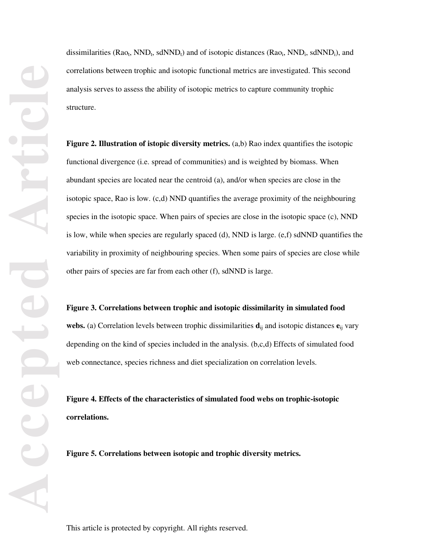dissimilarities ( $Ra_{0t}$ , NND<sub>t</sub>, sdNND<sub>t</sub>) and of isotopic distances ( $Ra_{0t}$ , NND<sub>i</sub>, sdNND<sub>i</sub>), and correlations between trophic and isotopic functional metrics are investigated. This second analysis serves to assess the ability of isotopic metrics to capture community trophic structure.

**Figure 2. Illustration of istopic diversity metrics.** (a,b) Rao index quantifies the isotopic functional divergence (i.e. spread of communities) and is weighted by biomass. When abundant species are located near the centroid (a), and/or when species are close in the isotopic space, Rao is low. (c,d) NND quantifies the average proximity of the neighbouring species in the isotopic space. When pairs of species are close in the isotopic space (c), NND is low, while when species are regularly spaced (d), NND is large. (e,f) sdNND quantifies the variability in proximity of neighbouring species. When some pairs of species are close while other pairs of species are far from each other (f), sdNND is large.

#### **Figure 3. Correlations between trophic and isotopic dissimilarity in simulated food**

**webs.** (a) Correlation levels between trophic dissimilarities **d**ij and isotopic distances **e**ij vary depending on the kind of species included in the analysis. (b,c,d) Effects of simulated food web connectance, species richness and diet specialization on correlation levels.

**Figure 4. Effects of the characteristics of simulated food webs on trophic-isotopic correlations.** 

**Figure 5. Correlations between isotopic and trophic diversity metrics.**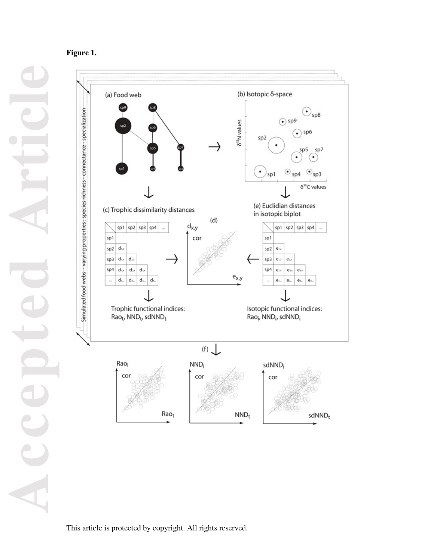## **Figure 1.**

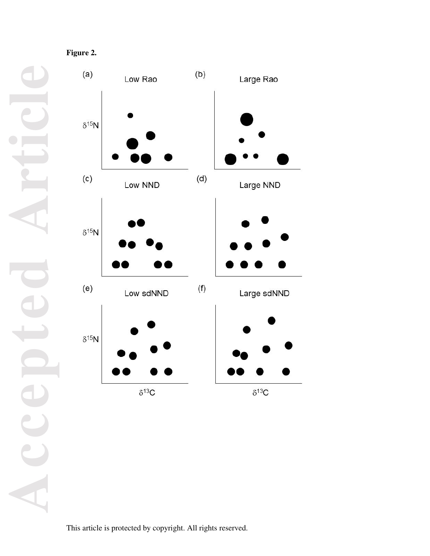**Accepted Article**

Large Rao  $\delta^{15}N$  $\left( \mathsf{c}\right)$  $(\mathsf{d})$ Large NND Low NND  $\delta^{15}N$  $(e)$  $(f)$ Large sdNND Low sdNND  $\delta^{15}N$  $\delta^{13}C$  $\delta^{13}\!C$ 

 $(b)$ 

**Figure 2.** 

 $(a)$ 

Low Rao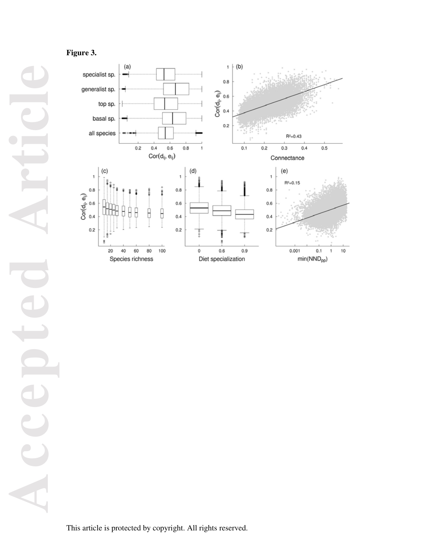# **Figure 3.**